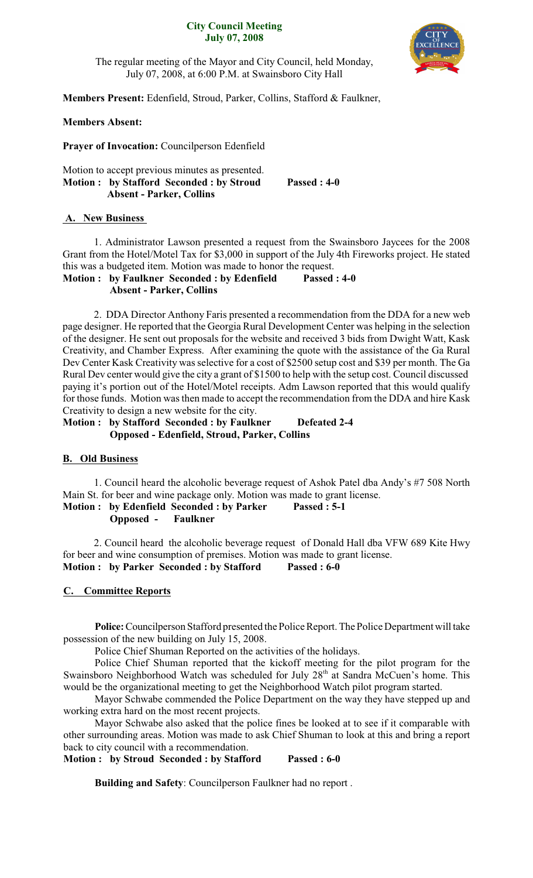#### **City Council Meeting July 07, 2008**



The regular meeting of the Mayor and City Council, held Monday, July 07, 2008, at 6:00 P.M. at Swainsboro City Hall

**Members Present:** Edenfield, Stroud, Parker, Collins, Stafford & Faulkner,

## **Members Absent:**

**Prayer of Invocation:** Councilperson Edenfield

Motion to accept previous minutes as presented. **Motion : by Stafford Seconded : by Stroud Passed : 4-0 Absent - Parker, Collins**

## **A. New Business**

1. Administrator Lawson presented a request from the Swainsboro Jaycees for the 2008 Grant from the Hotel/Motel Tax for \$3,000 in support of the July 4th Fireworks project. He stated this was a budgeted item. Motion was made to honor the request.

**Motion : by Faulkner Seconded : by Edenfield Passed : 4-0 Absent - Parker, Collins**

2. DDA Director Anthony Faris presented a recommendation from the DDA for a new web page designer. He reported that the Georgia Rural Development Center was helping in the selection of the designer. He sent out proposals for the website and received 3 bids from Dwight Watt, Kask Creativity, and Chamber Express. After examining the quote with the assistance of the Ga Rural Dev Center Kask Creativity was selective for a cost of \$2500 setup cost and \$39 per month. The Ga Rural Dev center would give the city a grant of \$1500 to help with the setup cost. Council discussed paying it's portion out of the Hotel/Motel receipts. Adm Lawson reported that this would qualify for those funds. Motion was then made to accept the recommendation from the DDA and hire Kask Creativity to design a new website for the city.

**Motion : by Stafford Seconded : by Faulkner Defeated 2-4 Opposed - Edenfield, Stroud, Parker, Collins**

### **B. Old Business**

1. Council heard the alcoholic beverage request of Ashok Patel dba Andy's #7 508 North Main St. for beer and wine package only. Motion was made to grant license. **Motion : by Edenfield Seconded : by Parker Passed : 5-1**

 **Opposed - Faulkner**

2. Council heard the alcoholic beverage request of Donald Hall dba VFW 689 Kite Hwy for beer and wine consumption of premises. Motion was made to grant license. **Motion : by Parker Seconded : by Stafford Passed : 6-0**

# **C. Committee Reports**

**Police:**Councilperson Stafford presented the Police Report. The Police Department will take possession of the new building on July 15, 2008.

Police Chief Shuman Reported on the activities of the holidays.

Police Chief Shuman reported that the kickoff meeting for the pilot program for the Swainsboro Neighborhood Watch was scheduled for July 28<sup>th</sup> at Sandra McCuen's home. This would be the organizational meeting to get the Neighborhood Watch pilot program started.

Mayor Schwabe commended the Police Department on the way they have stepped up and working extra hard on the most recent projects.

Mayor Schwabe also asked that the police fines be looked at to see if it comparable with other surrounding areas. Motion was made to ask Chief Shuman to look at this and bring a report back to city council with a recommendation.

**Motion : by Stroud Seconded : by Stafford Passed : 6-0**

**Building and Safety**: Councilperson Faulkner had no report .